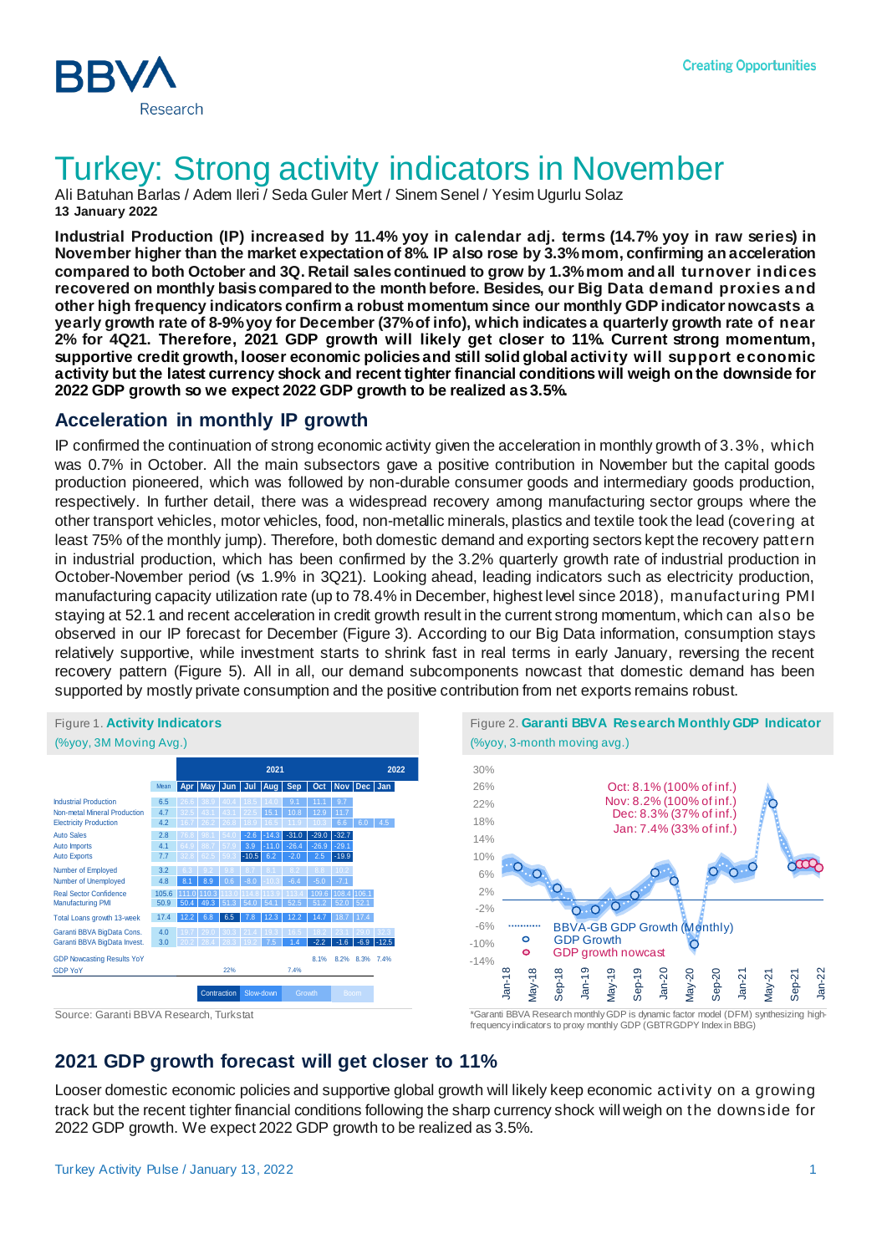

# Turkey: Strong activity indicators in November

Ali Batuhan Barlas / Adem Ileri / Seda Guler Mert / Sinem Senel / Yesim Ugurlu Solaz **13 January 2022**

**Industrial Production (IP) increased by 11.4% yoy in calendar adj. terms (14.7% yoy in raw series) in November higher than the market expectation of 8%. IP also rose by 3.3% mom, confirming an acceleration compared to both October and 3Q. Retail sales continued to grow by 1.3%mom and all turnover indices recovered on monthly basis compared to the month before. Besides, our Big Data demand proxies and other high frequency indicators confirm a robust momentum since our monthly GDP indicator nowcasts a yearly growth rate of 8-9% yoy for December (37% of info), which indicates a quarterly growth rate of near 2% for 4Q21. Therefore, 2021 GDP growth will likely get closer to 11%. Current strong momentum, supportive credit growth, looser economic policies and still solid global activity will support economic activity but the latest currency shock and recent tighter financial conditions will weigh on the downside for 2022 GDP growth so we expect 2022 GDP growth to be realized as 3.5%.**

### **Acceleration in monthly IP growth**

IP confirmed the continuation of strong economic activity given the acceleration in monthly growth of 3.3%, which was 0.7% in October. All the main subsectors gave a positive contribution in November but the capital goods production pioneered, which was followed by non-durable consumer goods and intermediary goods production, respectively. In further detail, there was a widespread recovery among manufacturing sector groups where the other transport vehicles, motor vehicles, food, non-metallic minerals, plastics and textile took the lead (covering at least 75% of the monthly jump). Therefore, both domestic demand and exporting sectors kept the recovery pattern in industrial production, which has been confirmed by the 3.2% quarterly growth rate of industrial production in October-November period (vs 1.9% in 3Q21). Looking ahead, leading indicators such as electricity production, manufacturing capacity utilization rate (up to 78.4% in December, highest level since 2018), manufacturing PMI staying at 52.1 and recent acceleration in credit growth result in the current strong momentum, which can also be observed in our IP forecast for December (Figure 3). According to our Big Data information, consumption stays relatively supportive, while investment starts to shrink fast in real terms in early January, reversing the recent recovery pattern (Figure 5). All in all, our demand subcomponents nowcast that domestic demand has been supported by mostly private consumption and the positive contribution from net exports remains robust.





frequency indicators to proxy monthly GDP (GBTRGDPY Index in BBG)

## **2021 GDP growth forecast will get closer to 11%**

Looser domestic economic policies and supportive global growth will likely keep economic activity on a growing track but the recent tighter financial conditions following the sharp currency shock will weigh on the downside for 2022 GDP growth. We expect 2022 GDP growth to be realized as 3.5%.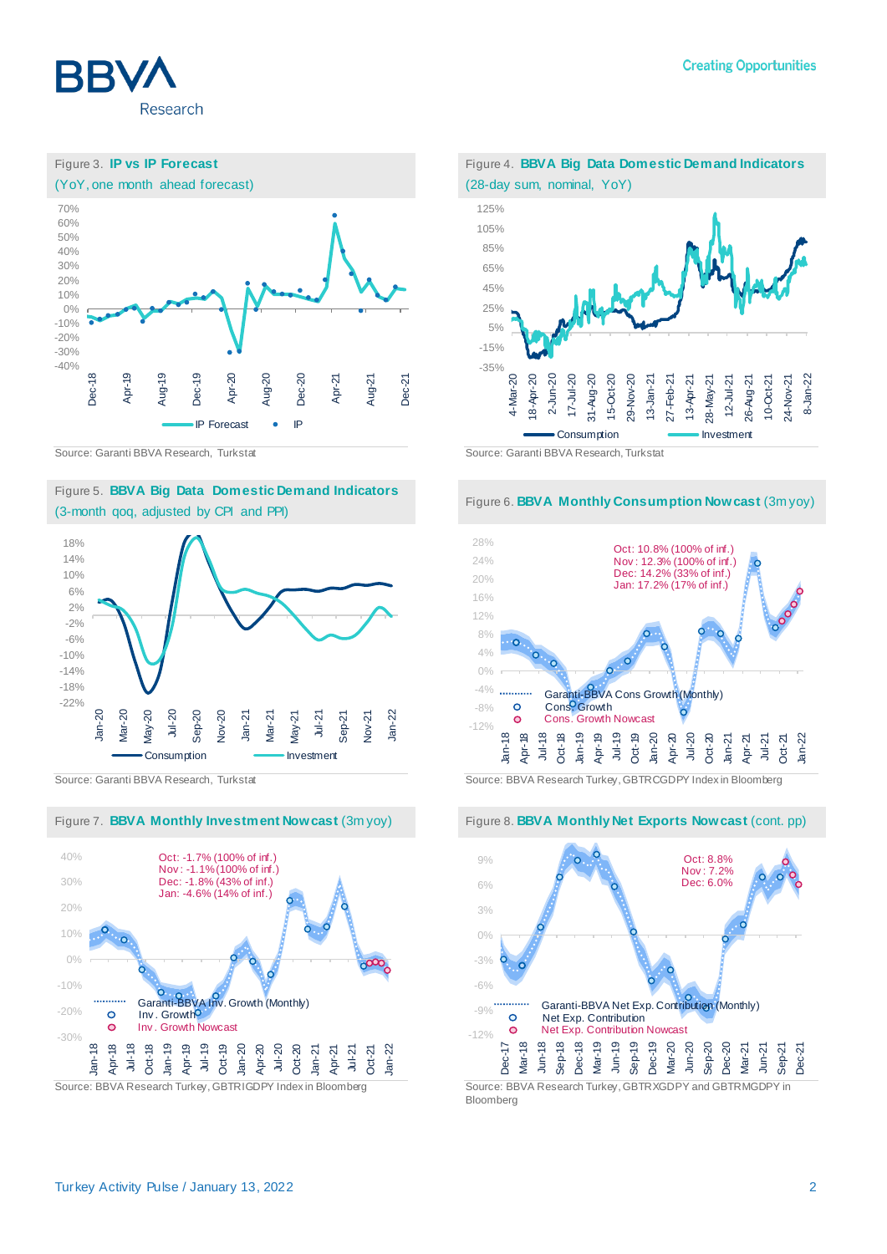



#### Figure 5. **BBVA Big Data Domestic Demand Indicators** (3-month qoq, adjusted by CPI and PPI)











Source: Garanti BBVA Research, Turkstat Source: BBVA Research Turkey, GBTRCGDPY Index in Bloomberg



Bloomberg